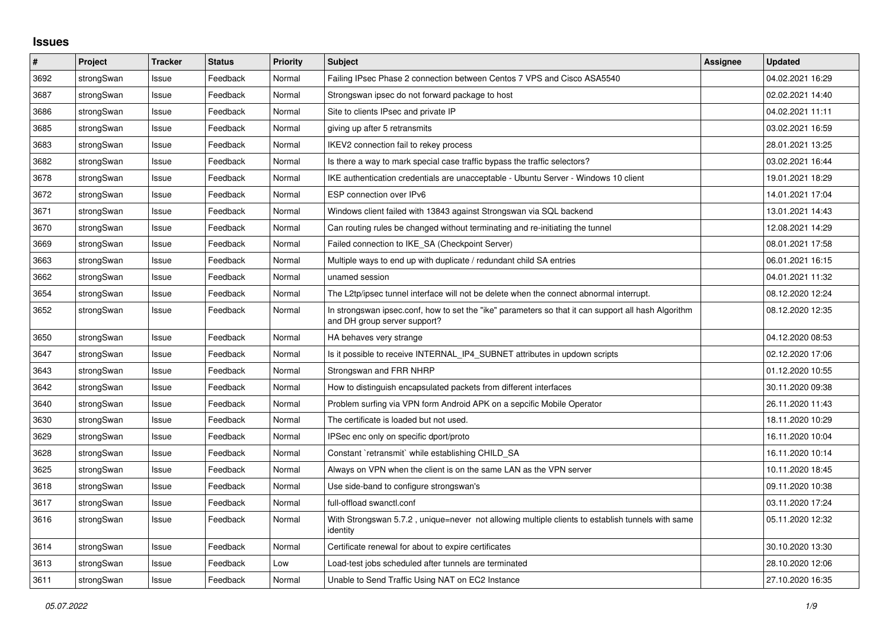## **Issues**

| #    | Project    | <b>Tracker</b> | <b>Status</b> | <b>Priority</b> | <b>Subject</b>                                                                                                                      | Assignee | <b>Updated</b>   |
|------|------------|----------------|---------------|-----------------|-------------------------------------------------------------------------------------------------------------------------------------|----------|------------------|
| 3692 | strongSwan | Issue          | Feedback      | Normal          | Failing IPsec Phase 2 connection between Centos 7 VPS and Cisco ASA5540                                                             |          | 04.02.2021 16:29 |
| 3687 | strongSwan | Issue          | Feedback      | Normal          | Strongswan ipsec do not forward package to host                                                                                     |          | 02.02.2021 14:40 |
| 3686 | strongSwan | Issue          | Feedback      | Normal          | Site to clients IPsec and private IP                                                                                                |          | 04.02.2021 11:11 |
| 3685 | strongSwan | Issue          | Feedback      | Normal          | giving up after 5 retransmits                                                                                                       |          | 03.02.2021 16:59 |
| 3683 | strongSwan | Issue          | Feedback      | Normal          | IKEV2 connection fail to rekey process                                                                                              |          | 28.01.2021 13:25 |
| 3682 | strongSwan | Issue          | Feedback      | Normal          | Is there a way to mark special case traffic bypass the traffic selectors?                                                           |          | 03.02.2021 16:44 |
| 3678 | strongSwan | Issue          | Feedback      | Normal          | IKE authentication credentials are unacceptable - Ubuntu Server - Windows 10 client                                                 |          | 19.01.2021 18:29 |
| 3672 | strongSwan | Issue          | Feedback      | Normal          | ESP connection over IPv6                                                                                                            |          | 14.01.2021 17:04 |
| 3671 | strongSwan | Issue          | Feedback      | Normal          | Windows client failed with 13843 against Strongswan via SQL backend                                                                 |          | 13.01.2021 14:43 |
| 3670 | strongSwan | Issue          | Feedback      | Normal          | Can routing rules be changed without terminating and re-initiating the tunnel                                                       |          | 12.08.2021 14:29 |
| 3669 | strongSwan | Issue          | Feedback      | Normal          | Failed connection to IKE SA (Checkpoint Server)                                                                                     |          | 08.01.2021 17:58 |
| 3663 | strongSwan | Issue          | Feedback      | Normal          | Multiple ways to end up with duplicate / redundant child SA entries                                                                 |          | 06.01.2021 16:15 |
| 3662 | strongSwan | Issue          | Feedback      | Normal          | unamed session                                                                                                                      |          | 04.01.2021 11:32 |
| 3654 | strongSwan | Issue          | Feedback      | Normal          | The L2tp/ipsec tunnel interface will not be delete when the connect abnormal interrupt.                                             |          | 08.12.2020 12:24 |
| 3652 | strongSwan | Issue          | Feedback      | Normal          | In strongswan ipsec.conf, how to set the "ike" parameters so that it can support all hash Algorithm<br>and DH group server support? |          | 08.12.2020 12:35 |
| 3650 | strongSwan | Issue          | Feedback      | Normal          | HA behaves very strange                                                                                                             |          | 04.12.2020 08:53 |
| 3647 | strongSwan | Issue          | Feedback      | Normal          | Is it possible to receive INTERNAL_IP4_SUBNET attributes in updown scripts                                                          |          | 02.12.2020 17:06 |
| 3643 | strongSwan | Issue          | Feedback      | Normal          | Strongswan and FRR NHRP                                                                                                             |          | 01.12.2020 10:55 |
| 3642 | strongSwan | Issue          | Feedback      | Normal          | How to distinguish encapsulated packets from different interfaces                                                                   |          | 30.11.2020 09:38 |
| 3640 | strongSwan | Issue          | Feedback      | Normal          | Problem surfing via VPN form Android APK on a sepcific Mobile Operator                                                              |          | 26.11.2020 11:43 |
| 3630 | strongSwan | Issue          | Feedback      | Normal          | The certificate is loaded but not used.                                                                                             |          | 18.11.2020 10:29 |
| 3629 | strongSwan | Issue          | Feedback      | Normal          | IPSec enc only on specific dport/proto                                                                                              |          | 16.11.2020 10:04 |
| 3628 | strongSwan | Issue          | Feedback      | Normal          | Constant `retransmit` while establishing CHILD SA                                                                                   |          | 16.11.2020 10:14 |
| 3625 | strongSwan | Issue          | Feedback      | Normal          | Always on VPN when the client is on the same LAN as the VPN server                                                                  |          | 10.11.2020 18:45 |
| 3618 | strongSwan | Issue          | Feedback      | Normal          | Use side-band to configure strongswan's                                                                                             |          | 09.11.2020 10:38 |
| 3617 | strongSwan | Issue          | Feedback      | Normal          | full-offload swanctl.conf                                                                                                           |          | 03.11.2020 17:24 |
| 3616 | strongSwan | Issue          | Feedback      | Normal          | With Strongswan 5.7.2, unique=never not allowing multiple clients to establish tunnels with same<br>identity                        |          | 05.11.2020 12:32 |
| 3614 | strongSwan | Issue          | Feedback      | Normal          | Certificate renewal for about to expire certificates                                                                                |          | 30.10.2020 13:30 |
| 3613 | strongSwan | Issue          | Feedback      | Low             | Load-test jobs scheduled after tunnels are terminated                                                                               |          | 28.10.2020 12:06 |
| 3611 | strongSwan | Issue          | Feedback      | Normal          | Unable to Send Traffic Using NAT on EC2 Instance                                                                                    |          | 27.10.2020 16:35 |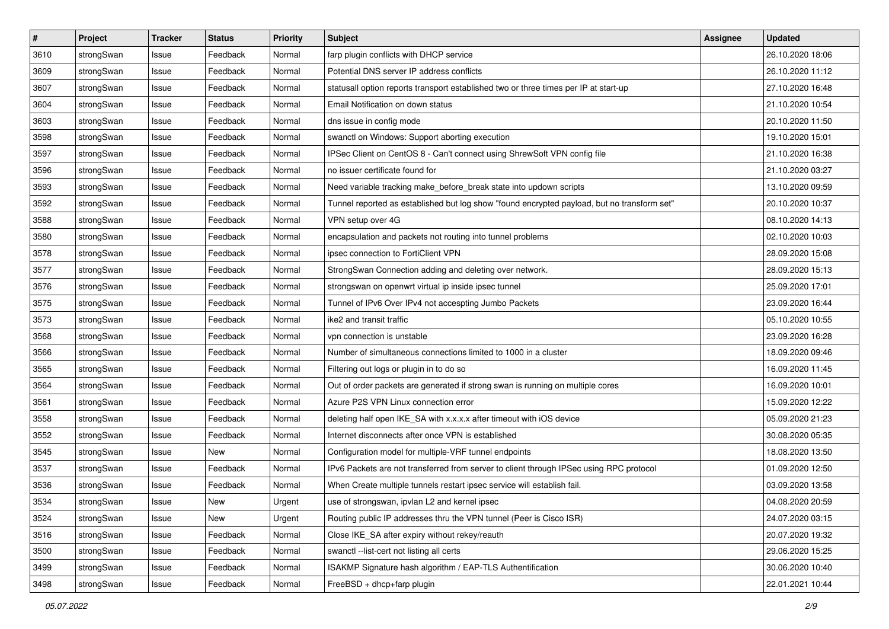| $\pmb{\#}$ | Project    | <b>Tracker</b> | <b>Status</b> | <b>Priority</b> | <b>Subject</b>                                                                              | <b>Assignee</b> | <b>Updated</b>   |
|------------|------------|----------------|---------------|-----------------|---------------------------------------------------------------------------------------------|-----------------|------------------|
| 3610       | strongSwan | Issue          | Feedback      | Normal          | farp plugin conflicts with DHCP service                                                     |                 | 26.10.2020 18:06 |
| 3609       | strongSwan | Issue          | Feedback      | Normal          | Potential DNS server IP address conflicts                                                   |                 | 26.10.2020 11:12 |
| 3607       | strongSwan | Issue          | Feedback      | Normal          | statusall option reports transport established two or three times per IP at start-up        |                 | 27.10.2020 16:48 |
| 3604       | strongSwan | Issue          | Feedback      | Normal          | Email Notification on down status                                                           |                 | 21.10.2020 10:54 |
| 3603       | strongSwan | Issue          | Feedback      | Normal          | dns issue in config mode                                                                    |                 | 20.10.2020 11:50 |
| 3598       | strongSwan | Issue          | Feedback      | Normal          | swanctl on Windows: Support aborting execution                                              |                 | 19.10.2020 15:01 |
| 3597       | strongSwan | Issue          | Feedback      | Normal          | IPSec Client on CentOS 8 - Can't connect using ShrewSoft VPN config file                    |                 | 21.10.2020 16:38 |
| 3596       | strongSwan | Issue          | Feedback      | Normal          | no issuer certificate found for                                                             |                 | 21.10.2020 03:27 |
| 3593       | strongSwan | Issue          | Feedback      | Normal          | Need variable tracking make_before_break state into updown scripts                          |                 | 13.10.2020 09:59 |
| 3592       | strongSwan | Issue          | Feedback      | Normal          | Tunnel reported as established but log show "found encrypted payload, but no transform set" |                 | 20.10.2020 10:37 |
| 3588       | strongSwan | Issue          | Feedback      | Normal          | VPN setup over 4G                                                                           |                 | 08.10.2020 14:13 |
| 3580       | strongSwan | Issue          | Feedback      | Normal          | encapsulation and packets not routing into tunnel problems                                  |                 | 02.10.2020 10:03 |
| 3578       | strongSwan | Issue          | Feedback      | Normal          | ipsec connection to FortiClient VPN                                                         |                 | 28.09.2020 15:08 |
| 3577       | strongSwan | Issue          | Feedback      | Normal          | StrongSwan Connection adding and deleting over network.                                     |                 | 28.09.2020 15:13 |
| 3576       | strongSwan | Issue          | Feedback      | Normal          | strongswan on openwrt virtual ip inside ipsec tunnel                                        |                 | 25.09.2020 17:01 |
| 3575       | strongSwan | Issue          | Feedback      | Normal          | Tunnel of IPv6 Over IPv4 not accespting Jumbo Packets                                       |                 | 23.09.2020 16:44 |
| 3573       | strongSwan | Issue          | Feedback      | Normal          | ike2 and transit traffic                                                                    |                 | 05.10.2020 10:55 |
| 3568       | strongSwan | Issue          | Feedback      | Normal          | vpn connection is unstable                                                                  |                 | 23.09.2020 16:28 |
| 3566       | strongSwan | Issue          | Feedback      | Normal          | Number of simultaneous connections limited to 1000 in a cluster                             |                 | 18.09.2020 09:46 |
| 3565       | strongSwan | Issue          | Feedback      | Normal          | Filtering out logs or plugin in to do so                                                    |                 | 16.09.2020 11:45 |
| 3564       | strongSwan | Issue          | Feedback      | Normal          | Out of order packets are generated if strong swan is running on multiple cores              |                 | 16.09.2020 10:01 |
| 3561       | strongSwan | Issue          | Feedback      | Normal          | Azure P2S VPN Linux connection error                                                        |                 | 15.09.2020 12:22 |
| 3558       | strongSwan | Issue          | Feedback      | Normal          | deleting half open IKE_SA with x.x.x.x after timeout with iOS device                        |                 | 05.09.2020 21:23 |
| 3552       | strongSwan | Issue          | Feedback      | Normal          | Internet disconnects after once VPN is established                                          |                 | 30.08.2020 05:35 |
| 3545       | strongSwan | Issue          | New           | Normal          | Configuration model for multiple-VRF tunnel endpoints                                       |                 | 18.08.2020 13:50 |
| 3537       | strongSwan | Issue          | Feedback      | Normal          | IPv6 Packets are not transferred from server to client through IPSec using RPC protocol     |                 | 01.09.2020 12:50 |
| 3536       | strongSwan | Issue          | Feedback      | Normal          | When Create multiple tunnels restart ipsec service will establish fail.                     |                 | 03.09.2020 13:58 |
| 3534       | strongSwan | Issue          | New           | Urgent          | use of strongswan, ipvlan L2 and kernel ipsec                                               |                 | 04.08.2020 20:59 |
| 3524       | strongSwan | Issue          | New           | Urgent          | Routing public IP addresses thru the VPN tunnel (Peer is Cisco ISR)                         |                 | 24.07.2020 03:15 |
| 3516       | strongSwan | Issue          | Feedback      | Normal          | Close IKE_SA after expiry without rekey/reauth                                              |                 | 20.07.2020 19:32 |
| 3500       | strongSwan | Issue          | Feedback      | Normal          | swanctl --list-cert not listing all certs                                                   |                 | 29.06.2020 15:25 |
| 3499       | strongSwan | Issue          | Feedback      | Normal          | ISAKMP Signature hash algorithm / EAP-TLS Authentification                                  |                 | 30.06.2020 10:40 |
| 3498       | strongSwan | Issue          | Feedback      | Normal          | FreeBSD + dhcp+farp plugin                                                                  |                 | 22.01.2021 10:44 |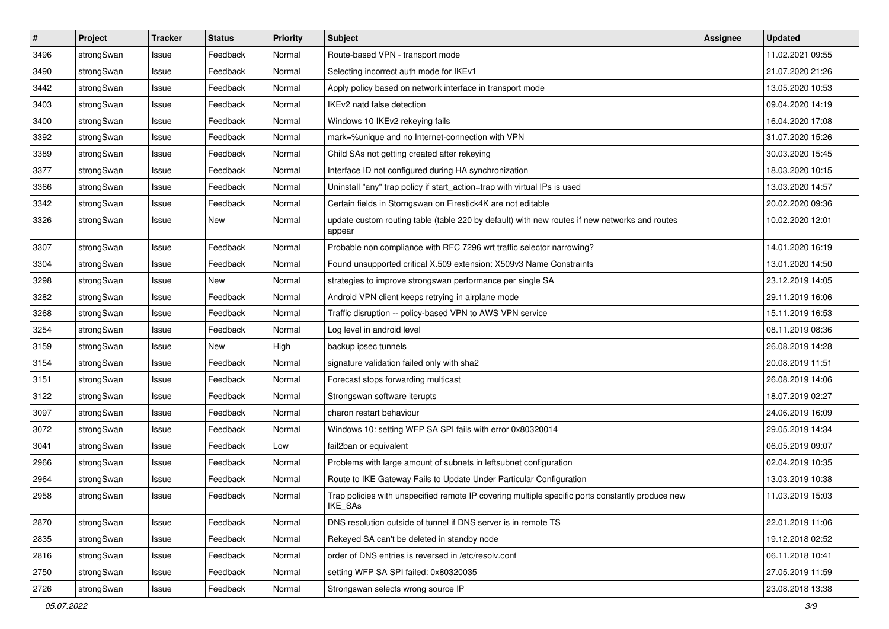| $\pmb{\#}$ | Project    | <b>Tracker</b> | <b>Status</b> | <b>Priority</b> | <b>Subject</b>                                                                                              | <b>Assignee</b> | <b>Updated</b>   |
|------------|------------|----------------|---------------|-----------------|-------------------------------------------------------------------------------------------------------------|-----------------|------------------|
| 3496       | strongSwan | Issue          | Feedback      | Normal          | Route-based VPN - transport mode                                                                            |                 | 11.02.2021 09:55 |
| 3490       | strongSwan | Issue          | Feedback      | Normal          | Selecting incorrect auth mode for IKEv1                                                                     |                 | 21.07.2020 21:26 |
| 3442       | strongSwan | Issue          | Feedback      | Normal          | Apply policy based on network interface in transport mode                                                   |                 | 13.05.2020 10:53 |
| 3403       | strongSwan | Issue          | Feedback      | Normal          | IKEv2 natd false detection                                                                                  |                 | 09.04.2020 14:19 |
| 3400       | strongSwan | Issue          | Feedback      | Normal          | Windows 10 IKEv2 rekeying fails                                                                             |                 | 16.04.2020 17:08 |
| 3392       | strongSwan | Issue          | Feedback      | Normal          | mark=%unique and no Internet-connection with VPN                                                            |                 | 31.07.2020 15:26 |
| 3389       | strongSwan | Issue          | Feedback      | Normal          | Child SAs not getting created after rekeying                                                                |                 | 30.03.2020 15:45 |
| 3377       | strongSwan | Issue          | Feedback      | Normal          | Interface ID not configured during HA synchronization                                                       |                 | 18.03.2020 10:15 |
| 3366       | strongSwan | Issue          | Feedback      | Normal          | Uninstall "any" trap policy if start_action=trap with virtual IPs is used                                   |                 | 13.03.2020 14:57 |
| 3342       | strongSwan | Issue          | Feedback      | Normal          | Certain fields in Storngswan on Firestick4K are not editable                                                |                 | 20.02.2020 09:36 |
| 3326       | strongSwan | Issue          | New           | Normal          | update custom routing table (table 220 by default) with new routes if new networks and routes<br>appear     |                 | 10.02.2020 12:01 |
| 3307       | strongSwan | Issue          | Feedback      | Normal          | Probable non compliance with RFC 7296 wrt traffic selector narrowing?                                       |                 | 14.01.2020 16:19 |
| 3304       | strongSwan | Issue          | Feedback      | Normal          | Found unsupported critical X.509 extension: X509v3 Name Constraints                                         |                 | 13.01.2020 14:50 |
| 3298       | strongSwan | Issue          | New           | Normal          | strategies to improve strongswan performance per single SA                                                  |                 | 23.12.2019 14:05 |
| 3282       | strongSwan | Issue          | Feedback      | Normal          | Android VPN client keeps retrying in airplane mode                                                          |                 | 29.11.2019 16:06 |
| 3268       | strongSwan | Issue          | Feedback      | Normal          | Traffic disruption -- policy-based VPN to AWS VPN service                                                   |                 | 15.11.2019 16:53 |
| 3254       | strongSwan | Issue          | Feedback      | Normal          | Log level in android level                                                                                  |                 | 08.11.2019 08:36 |
| 3159       | strongSwan | Issue          | New           | High            | backup ipsec tunnels                                                                                        |                 | 26.08.2019 14:28 |
| 3154       | strongSwan | Issue          | Feedback      | Normal          | signature validation failed only with sha2                                                                  |                 | 20.08.2019 11:51 |
| 3151       | strongSwan | Issue          | Feedback      | Normal          | Forecast stops forwarding multicast                                                                         |                 | 26.08.2019 14:06 |
| 3122       | strongSwan | Issue          | Feedback      | Normal          | Strongswan software iterupts                                                                                |                 | 18.07.2019 02:27 |
| 3097       | strongSwan | Issue          | Feedback      | Normal          | charon restart behaviour                                                                                    |                 | 24.06.2019 16:09 |
| 3072       | strongSwan | Issue          | Feedback      | Normal          | Windows 10: setting WFP SA SPI fails with error 0x80320014                                                  |                 | 29.05.2019 14:34 |
| 3041       | strongSwan | Issue          | Feedback      | Low             | fail2ban or equivalent                                                                                      |                 | 06.05.2019 09:07 |
| 2966       | strongSwan | Issue          | Feedback      | Normal          | Problems with large amount of subnets in leftsubnet configuration                                           |                 | 02.04.2019 10:35 |
| 2964       | strongSwan | Issue          | Feedback      | Normal          | Route to IKE Gateway Fails to Update Under Particular Configuration                                         |                 | 13.03.2019 10:38 |
| 2958       | strongSwan | Issue          | Feedback      | Normal          | Trap policies with unspecified remote IP covering multiple specific ports constantly produce new<br>IKE_SAs |                 | 11.03.2019 15:03 |
| 2870       | strongSwan | Issue          | Feedback      | Normal          | DNS resolution outside of tunnel if DNS server is in remote TS                                              |                 | 22.01.2019 11:06 |
| 2835       | strongSwan | Issue          | Feedback      | Normal          | Rekeyed SA can't be deleted in standby node                                                                 |                 | 19.12.2018 02:52 |
| 2816       | strongSwan | Issue          | Feedback      | Normal          | order of DNS entries is reversed in /etc/resolv.conf                                                        |                 | 06.11.2018 10:41 |
| 2750       | strongSwan | Issue          | Feedback      | Normal          | setting WFP SA SPI failed: 0x80320035                                                                       |                 | 27.05.2019 11:59 |
| 2726       | strongSwan | Issue          | Feedback      | Normal          | Strongswan selects wrong source IP                                                                          |                 | 23.08.2018 13:38 |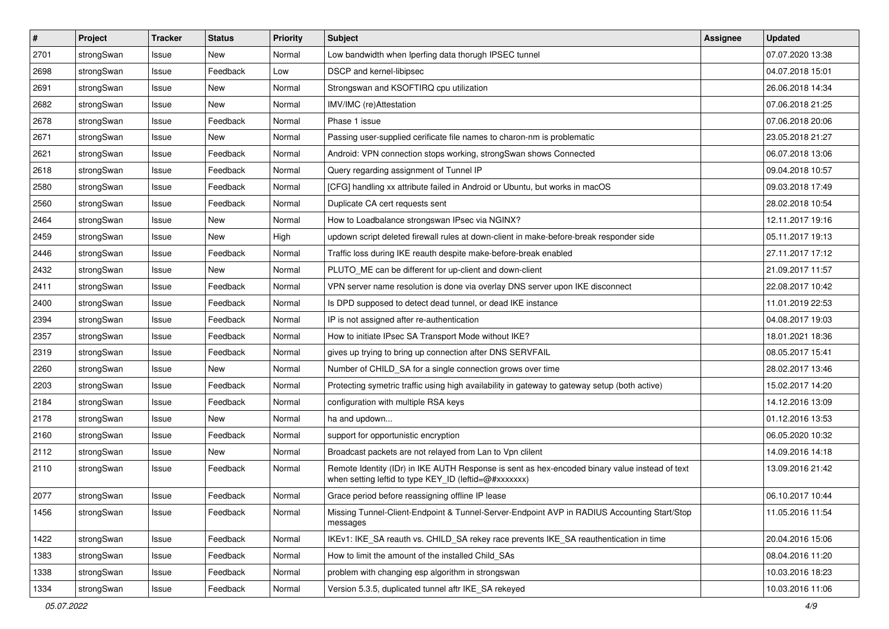| $\pmb{\#}$ | Project    | <b>Tracker</b> | <b>Status</b> | <b>Priority</b> | <b>Subject</b>                                                                                                                                          | <b>Assignee</b> | <b>Updated</b>   |
|------------|------------|----------------|---------------|-----------------|---------------------------------------------------------------------------------------------------------------------------------------------------------|-----------------|------------------|
| 2701       | strongSwan | Issue          | New           | Normal          | Low bandwidth when Iperfing data thorugh IPSEC tunnel                                                                                                   |                 | 07.07.2020 13:38 |
| 2698       | strongSwan | Issue          | Feedback      | Low             | DSCP and kernel-libipsec                                                                                                                                |                 | 04.07.2018 15:01 |
| 2691       | strongSwan | Issue          | New           | Normal          | Strongswan and KSOFTIRQ cpu utilization                                                                                                                 |                 | 26.06.2018 14:34 |
| 2682       | strongSwan | Issue          | New           | Normal          | IMV/IMC (re)Attestation                                                                                                                                 |                 | 07.06.2018 21:25 |
| 2678       | strongSwan | Issue          | Feedback      | Normal          | Phase 1 issue                                                                                                                                           |                 | 07.06.2018 20:06 |
| 2671       | strongSwan | Issue          | New           | Normal          | Passing user-supplied cerificate file names to charon-nm is problematic                                                                                 |                 | 23.05.2018 21:27 |
| 2621       | strongSwan | Issue          | Feedback      | Normal          | Android: VPN connection stops working, strongSwan shows Connected                                                                                       |                 | 06.07.2018 13:06 |
| 2618       | strongSwan | Issue          | Feedback      | Normal          | Query regarding assignment of Tunnel IP                                                                                                                 |                 | 09.04.2018 10:57 |
| 2580       | strongSwan | Issue          | Feedback      | Normal          | [CFG] handling xx attribute failed in Android or Ubuntu, but works in macOS                                                                             |                 | 09.03.2018 17:49 |
| 2560       | strongSwan | Issue          | Feedback      | Normal          | Duplicate CA cert requests sent                                                                                                                         |                 | 28.02.2018 10:54 |
| 2464       | strongSwan | Issue          | New           | Normal          | How to Loadbalance strongswan IPsec via NGINX?                                                                                                          |                 | 12.11.2017 19:16 |
| 2459       | strongSwan | Issue          | New           | High            | updown script deleted firewall rules at down-client in make-before-break responder side                                                                 |                 | 05.11.2017 19:13 |
| 2446       | strongSwan | Issue          | Feedback      | Normal          | Traffic loss during IKE reauth despite make-before-break enabled                                                                                        |                 | 27.11.2017 17:12 |
| 2432       | strongSwan | Issue          | New           | Normal          | PLUTO_ME can be different for up-client and down-client                                                                                                 |                 | 21.09.2017 11:57 |
| 2411       | strongSwan | Issue          | Feedback      | Normal          | VPN server name resolution is done via overlay DNS server upon IKE disconnect                                                                           |                 | 22.08.2017 10:42 |
| 2400       | strongSwan | Issue          | Feedback      | Normal          | Is DPD supposed to detect dead tunnel, or dead IKE instance                                                                                             |                 | 11.01.2019 22:53 |
| 2394       | strongSwan | Issue          | Feedback      | Normal          | IP is not assigned after re-authentication                                                                                                              |                 | 04.08.2017 19:03 |
| 2357       | strongSwan | Issue          | Feedback      | Normal          | How to initiate IPsec SA Transport Mode without IKE?                                                                                                    |                 | 18.01.2021 18:36 |
| 2319       | strongSwan | Issue          | Feedback      | Normal          | gives up trying to bring up connection after DNS SERVFAIL                                                                                               |                 | 08.05.2017 15:41 |
| 2260       | strongSwan | Issue          | New           | Normal          | Number of CHILD_SA for a single connection grows over time                                                                                              |                 | 28.02.2017 13:46 |
| 2203       | strongSwan | Issue          | Feedback      | Normal          | Protecting symetric traffic using high availability in gateway to gateway setup (both active)                                                           |                 | 15.02.2017 14:20 |
| 2184       | strongSwan | Issue          | Feedback      | Normal          | configuration with multiple RSA keys                                                                                                                    |                 | 14.12.2016 13:09 |
| 2178       | strongSwan | Issue          | New           | Normal          | ha and updown                                                                                                                                           |                 | 01.12.2016 13:53 |
| 2160       | strongSwan | Issue          | Feedback      | Normal          | support for opportunistic encryption                                                                                                                    |                 | 06.05.2020 10:32 |
| 2112       | strongSwan | Issue          | New           | Normal          | Broadcast packets are not relayed from Lan to Vpn clilent                                                                                               |                 | 14.09.2016 14:18 |
| 2110       | strongSwan | Issue          | Feedback      | Normal          | Remote Identity (IDr) in IKE AUTH Response is sent as hex-encoded binary value instead of text<br>when setting leftid to type KEY ID (leftid=@#xxxxxxx) |                 | 13.09.2016 21:42 |
| 2077       | strongSwan | Issue          | Feedback      | Normal          | Grace period before reassigning offline IP lease                                                                                                        |                 | 06.10.2017 10:44 |
| 1456       | strongSwan | Issue          | Feedback      | Normal          | Missing Tunnel-Client-Endpoint & Tunnel-Server-Endpoint AVP in RADIUS Accounting Start/Stop<br>messages                                                 |                 | 11.05.2016 11:54 |
| 1422       | strongSwan | Issue          | Feedback      | Normal          | IKEv1: IKE_SA reauth vs. CHILD_SA rekey race prevents IKE_SA reauthentication in time                                                                   |                 | 20.04.2016 15:06 |
| 1383       | strongSwan | Issue          | Feedback      | Normal          | How to limit the amount of the installed Child_SAs                                                                                                      |                 | 08.04.2016 11:20 |
| 1338       | strongSwan | Issue          | Feedback      | Normal          | problem with changing esp algorithm in strongswan                                                                                                       |                 | 10.03.2016 18:23 |
| 1334       | strongSwan | Issue          | Feedback      | Normal          | Version 5.3.5, duplicated tunnel aftr IKE_SA rekeyed                                                                                                    |                 | 10.03.2016 11:06 |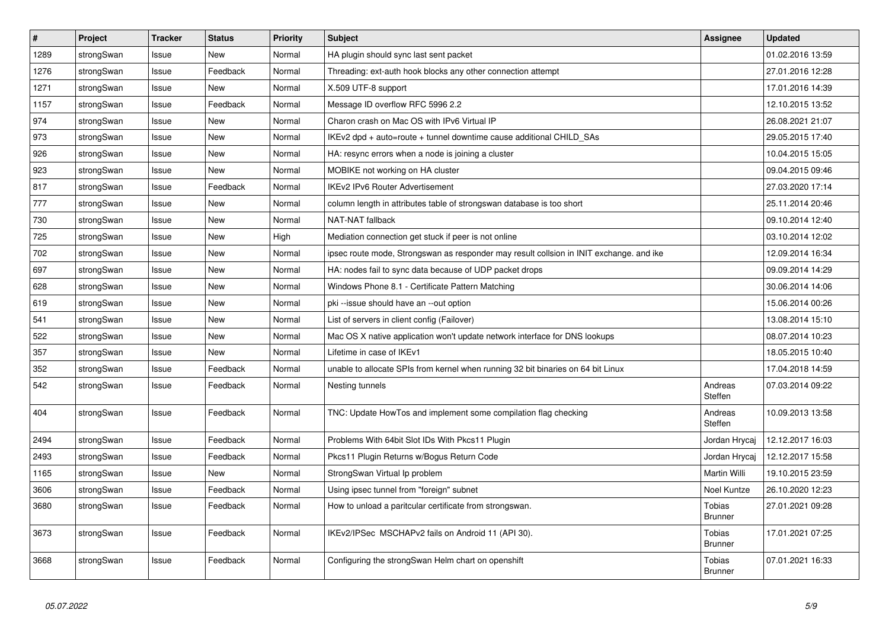| $\vert$ # | Project    | <b>Tracker</b> | <b>Status</b> | <b>Priority</b> | <b>Subject</b>                                                                          | Assignee                 | <b>Updated</b>   |
|-----------|------------|----------------|---------------|-----------------|-----------------------------------------------------------------------------------------|--------------------------|------------------|
| 1289      | strongSwan | Issue          | <b>New</b>    | Normal          | HA plugin should sync last sent packet                                                  |                          | 01.02.2016 13:59 |
| 1276      | strongSwan | Issue          | Feedback      | Normal          | Threading: ext-auth hook blocks any other connection attempt                            |                          | 27.01.2016 12:28 |
| 1271      | strongSwan | Issue          | New           | Normal          | X.509 UTF-8 support                                                                     |                          | 17.01.2016 14:39 |
| 1157      | strongSwan | Issue          | Feedback      | Normal          | Message ID overflow RFC 5996 2.2                                                        |                          | 12.10.2015 13:52 |
| 974       | strongSwan | Issue          | <b>New</b>    | Normal          | Charon crash on Mac OS with IPv6 Virtual IP                                             |                          | 26.08.2021 21:07 |
| 973       | strongSwan | Issue          | <b>New</b>    | Normal          | IKEv2 dpd + auto=route + tunnel downtime cause additional CHILD_SAs                     |                          | 29.05.2015 17:40 |
| 926       | strongSwan | Issue          | New           | Normal          | HA: resync errors when a node is joining a cluster                                      |                          | 10.04.2015 15:05 |
| 923       | strongSwan | Issue          | <b>New</b>    | Normal          | MOBIKE not working on HA cluster                                                        |                          | 09.04.2015 09:46 |
| 817       | strongSwan | Issue          | Feedback      | Normal          | <b>IKEv2 IPv6 Router Advertisement</b>                                                  |                          | 27.03.2020 17:14 |
| 777       | strongSwan | Issue          | <b>New</b>    | Normal          | column length in attributes table of strongswan database is too short                   |                          | 25.11.2014 20:46 |
| 730       | strongSwan | Issue          | New           | Normal          | NAT-NAT fallback                                                                        |                          | 09.10.2014 12:40 |
| 725       | strongSwan | Issue          | New           | High            | Mediation connection get stuck if peer is not online                                    |                          | 03.10.2014 12:02 |
| 702       | strongSwan | Issue          | <b>New</b>    | Normal          | ipsec route mode, Strongswan as responder may result collsion in INIT exchange, and ike |                          | 12.09.2014 16:34 |
| 697       | strongSwan | Issue          | <b>New</b>    | Normal          | HA: nodes fail to sync data because of UDP packet drops                                 |                          | 09.09.2014 14:29 |
| 628       | strongSwan | Issue          | New           | Normal          | Windows Phone 8.1 - Certificate Pattern Matching                                        |                          | 30.06.2014 14:06 |
| 619       | strongSwan | Issue          | <b>New</b>    | Normal          | pki --issue should have an --out option                                                 |                          | 15.06.2014 00:26 |
| 541       | strongSwan | Issue          | New           | Normal          | List of servers in client config (Failover)                                             |                          | 13.08.2014 15:10 |
| 522       | strongSwan | Issue          | <b>New</b>    | Normal          | Mac OS X native application won't update network interface for DNS lookups              |                          | 08.07.2014 10:23 |
| 357       | strongSwan | Issue          | New           | Normal          | Lifetime in case of IKEv1                                                               |                          | 18.05.2015 10:40 |
| 352       | strongSwan | Issue          | Feedback      | Normal          | unable to allocate SPIs from kernel when running 32 bit binaries on 64 bit Linux        |                          | 17.04.2018 14:59 |
| 542       | strongSwan | Issue          | Feedback      | Normal          | Nesting tunnels                                                                         | Andreas<br>Steffen       | 07.03.2014 09:22 |
| 404       | strongSwan | Issue          | Feedback      | Normal          | TNC: Update HowTos and implement some compilation flag checking                         | Andreas<br>Steffen       | 10.09.2013 13:58 |
| 2494      | strongSwan | Issue          | Feedback      | Normal          | Problems With 64bit Slot IDs With Pkcs11 Plugin                                         | Jordan Hrycaj            | 12.12.2017 16:03 |
| 2493      | strongSwan | Issue          | Feedback      | Normal          | Pkcs11 Plugin Returns w/Bogus Return Code                                               | Jordan Hrycaj            | 12.12.2017 15:58 |
| 1165      | strongSwan | Issue          | <b>New</b>    | Normal          | StrongSwan Virtual Ip problem                                                           | Martin Willi             | 19.10.2015 23:59 |
| 3606      | strongSwan | Issue          | Feedback      | Normal          | Using ipsec tunnel from "foreign" subnet                                                | Noel Kuntze              | 26.10.2020 12:23 |
| 3680      | strongSwan | Issue          | Feedback      | Normal          | How to unload a paritcular certificate from strongswan.                                 | Tobias<br><b>Brunner</b> | 27.01.2021 09:28 |
| 3673      | strongSwan | Issue          | Feedback      | Normal          | IKEv2/IPSec MSCHAPv2 fails on Android 11 (API 30).                                      | Tobias<br><b>Brunner</b> | 17.01.2021 07:25 |
| 3668      | strongSwan | Issue          | Feedback      | Normal          | Configuring the strongSwan Helm chart on openshift                                      | Tobias<br><b>Brunner</b> | 07.01.2021 16:33 |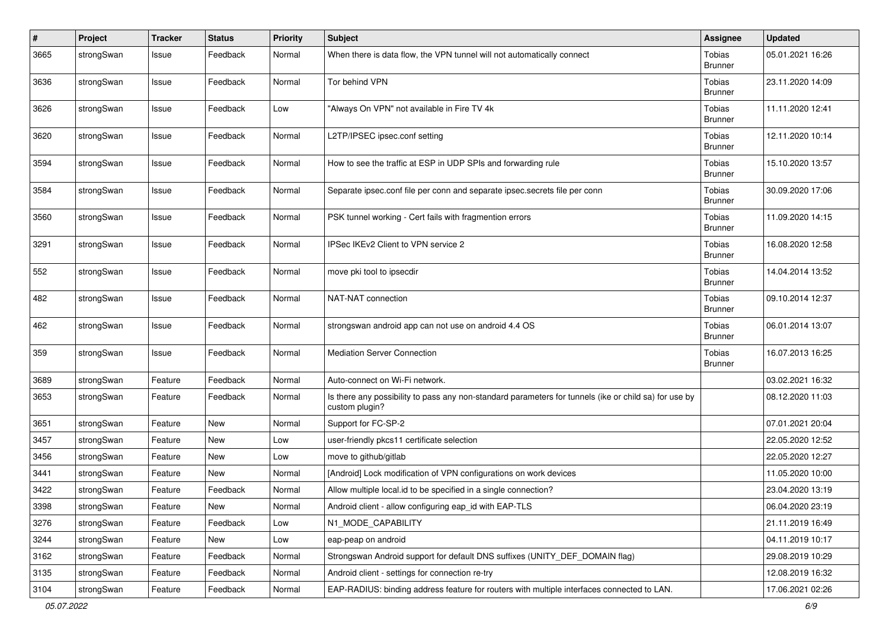| $\#$ | Project    | <b>Tracker</b> | <b>Status</b> | <b>Priority</b> | <b>Subject</b>                                                                                                          | <b>Assignee</b>                 | <b>Updated</b>   |
|------|------------|----------------|---------------|-----------------|-------------------------------------------------------------------------------------------------------------------------|---------------------------------|------------------|
| 3665 | strongSwan | Issue          | Feedback      | Normal          | When there is data flow, the VPN tunnel will not automatically connect                                                  | Tobias<br><b>Brunner</b>        | 05.01.2021 16:26 |
| 3636 | strongSwan | Issue          | Feedback      | Normal          | Tor behind VPN                                                                                                          | Tobias<br><b>Brunner</b>        | 23.11.2020 14:09 |
| 3626 | strongSwan | Issue          | Feedback      | Low             | "Always On VPN" not available in Fire TV 4k                                                                             | Tobias<br><b>Brunner</b>        | 11.11.2020 12:41 |
| 3620 | strongSwan | Issue          | Feedback      | Normal          | L2TP/IPSEC ipsec.conf setting                                                                                           | Tobias<br><b>Brunner</b>        | 12.11.2020 10:14 |
| 3594 | strongSwan | Issue          | Feedback      | Normal          | How to see the traffic at ESP in UDP SPIs and forwarding rule                                                           | Tobias<br><b>Brunner</b>        | 15.10.2020 13:57 |
| 3584 | strongSwan | Issue          | Feedback      | Normal          | Separate ipsec.conf file per conn and separate ipsec.secrets file per conn                                              | Tobias<br><b>Brunner</b>        | 30.09.2020 17:06 |
| 3560 | strongSwan | Issue          | Feedback      | Normal          | PSK tunnel working - Cert fails with fragmention errors                                                                 | Tobias<br><b>Brunner</b>        | 11.09.2020 14:15 |
| 3291 | strongSwan | Issue          | Feedback      | Normal          | IPSec IKEv2 Client to VPN service 2                                                                                     | Tobias<br><b>Brunner</b>        | 16.08.2020 12:58 |
| 552  | strongSwan | Issue          | Feedback      | Normal          | move pki tool to ipsecdir                                                                                               | Tobias<br><b>Brunner</b>        | 14.04.2014 13:52 |
| 482  | strongSwan | Issue          | Feedback      | Normal          | NAT-NAT connection                                                                                                      | Tobias<br><b>Brunner</b>        | 09.10.2014 12:37 |
| 462  | strongSwan | Issue          | Feedback      | Normal          | strongswan android app can not use on android 4.4 OS                                                                    | Tobias<br><b>Brunner</b>        | 06.01.2014 13:07 |
| 359  | strongSwan | Issue          | Feedback      | Normal          | <b>Mediation Server Connection</b>                                                                                      | <b>Tobias</b><br><b>Brunner</b> | 16.07.2013 16:25 |
| 3689 | strongSwan | Feature        | Feedback      | Normal          | Auto-connect on Wi-Fi network.                                                                                          |                                 | 03.02.2021 16:32 |
| 3653 | strongSwan | Feature        | Feedback      | Normal          | Is there any possibility to pass any non-standard parameters for tunnels (ike or child sa) for use by<br>custom plugin? |                                 | 08.12.2020 11:03 |
| 3651 | strongSwan | Feature        | <b>New</b>    | Normal          | Support for FC-SP-2                                                                                                     |                                 | 07.01.2021 20:04 |
| 3457 | strongSwan | Feature        | <b>New</b>    | Low             | user-friendly pkcs11 certificate selection                                                                              |                                 | 22.05.2020 12:52 |
| 3456 | strongSwan | Feature        | <b>New</b>    | Low             | move to github/gitlab                                                                                                   |                                 | 22.05.2020 12:27 |
| 3441 | strongSwan | Feature        | <b>New</b>    | Normal          | [Android] Lock modification of VPN configurations on work devices                                                       |                                 | 11.05.2020 10:00 |
| 3422 | strongSwan | Feature        | Feedback      | Normal          | Allow multiple local.id to be specified in a single connection?                                                         |                                 | 23.04.2020 13:19 |
| 3398 | strongSwan | Feature        | New           | Normal          | Android client - allow configuring eap_id with EAP-TLS                                                                  |                                 | 06.04.2020 23:19 |
| 3276 | strongSwan | Feature        | Feedback      | Low             | N1_MODE_CAPABILITY                                                                                                      |                                 | 21.11.2019 16:49 |
| 3244 | strongSwan | Feature        | New           | Low             | eap-peap on android                                                                                                     |                                 | 04.11.2019 10:17 |
| 3162 | strongSwan | Feature        | Feedback      | Normal          | Strongswan Android support for default DNS suffixes (UNITY_DEF_DOMAIN flag)                                             |                                 | 29.08.2019 10:29 |
| 3135 | strongSwan | Feature        | Feedback      | Normal          | Android client - settings for connection re-try                                                                         |                                 | 12.08.2019 16:32 |
| 3104 | strongSwan | Feature        | Feedback      | Normal          | EAP-RADIUS: binding address feature for routers with multiple interfaces connected to LAN.                              |                                 | 17.06.2021 02:26 |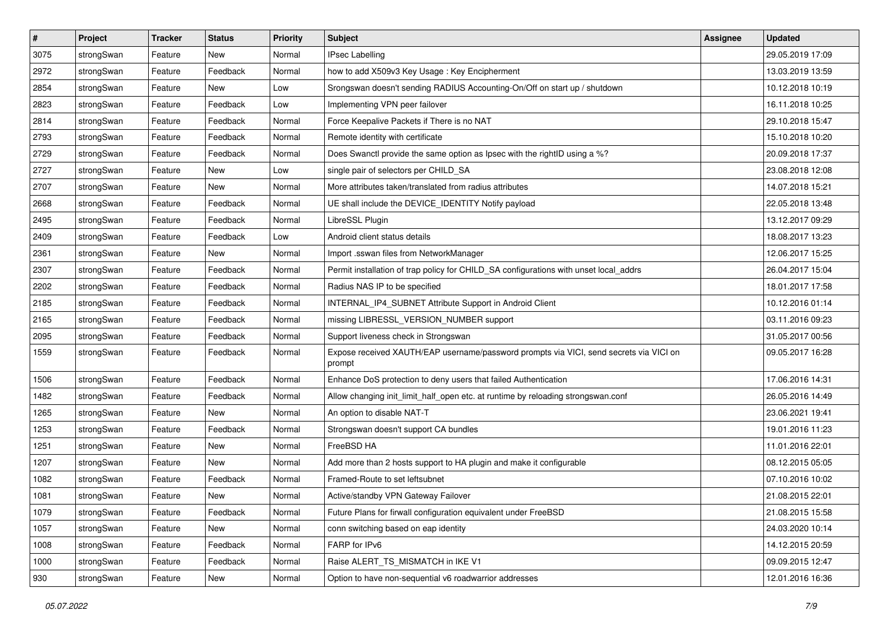| $\pmb{\#}$ | Project    | <b>Tracker</b> | <b>Status</b> | <b>Priority</b> | <b>Subject</b>                                                                                   | <b>Assignee</b> | <b>Updated</b>   |
|------------|------------|----------------|---------------|-----------------|--------------------------------------------------------------------------------------------------|-----------------|------------------|
| 3075       | strongSwan | Feature        | New           | Normal          | <b>IPsec Labelling</b>                                                                           |                 | 29.05.2019 17:09 |
| 2972       | strongSwan | Feature        | Feedback      | Normal          | how to add X509v3 Key Usage: Key Encipherment                                                    |                 | 13.03.2019 13:59 |
| 2854       | strongSwan | Feature        | New           | Low             | Srongswan doesn't sending RADIUS Accounting-On/Off on start up / shutdown                        |                 | 10.12.2018 10:19 |
| 2823       | strongSwan | Feature        | Feedback      | Low             | Implementing VPN peer failover                                                                   |                 | 16.11.2018 10:25 |
| 2814       | strongSwan | Feature        | Feedback      | Normal          | Force Keepalive Packets if There is no NAT                                                       |                 | 29.10.2018 15:47 |
| 2793       | strongSwan | Feature        | Feedback      | Normal          | Remote identity with certificate                                                                 |                 | 15.10.2018 10:20 |
| 2729       | strongSwan | Feature        | Feedback      | Normal          | Does Swanctl provide the same option as Ipsec with the rightID using a %?                        |                 | 20.09.2018 17:37 |
| 2727       | strongSwan | Feature        | New           | Low             | single pair of selectors per CHILD_SA                                                            |                 | 23.08.2018 12:08 |
| 2707       | strongSwan | Feature        | New           | Normal          | More attributes taken/translated from radius attributes                                          |                 | 14.07.2018 15:21 |
| 2668       | strongSwan | Feature        | Feedback      | Normal          | UE shall include the DEVICE_IDENTITY Notify payload                                              |                 | 22.05.2018 13:48 |
| 2495       | strongSwan | Feature        | Feedback      | Normal          | LibreSSL Plugin                                                                                  |                 | 13.12.2017 09:29 |
| 2409       | strongSwan | Feature        | Feedback      | Low             | Android client status details                                                                    |                 | 18.08.2017 13:23 |
| 2361       | strongSwan | Feature        | New           | Normal          | Import .sswan files from NetworkManager                                                          |                 | 12.06.2017 15:25 |
| 2307       | strongSwan | Feature        | Feedback      | Normal          | Permit installation of trap policy for CHILD_SA configurations with unset local_addrs            |                 | 26.04.2017 15:04 |
| 2202       | strongSwan | Feature        | Feedback      | Normal          | Radius NAS IP to be specified                                                                    |                 | 18.01.2017 17:58 |
| 2185       | strongSwan | Feature        | Feedback      | Normal          | INTERNAL_IP4_SUBNET Attribute Support in Android Client                                          |                 | 10.12.2016 01:14 |
| 2165       | strongSwan | Feature        | Feedback      | Normal          | missing LIBRESSL_VERSION_NUMBER support                                                          |                 | 03.11.2016 09:23 |
| 2095       | strongSwan | Feature        | Feedback      | Normal          | Support liveness check in Strongswan                                                             |                 | 31.05.2017 00:56 |
| 1559       | strongSwan | Feature        | Feedback      | Normal          | Expose received XAUTH/EAP username/password prompts via VICI, send secrets via VICI on<br>prompt |                 | 09.05.2017 16:28 |
| 1506       | strongSwan | Feature        | Feedback      | Normal          | Enhance DoS protection to deny users that failed Authentication                                  |                 | 17.06.2016 14:31 |
| 1482       | strongSwan | Feature        | Feedback      | Normal          | Allow changing init_limit_half_open etc. at runtime by reloading strongswan.conf                 |                 | 26.05.2016 14:49 |
| 1265       | strongSwan | Feature        | New           | Normal          | An option to disable NAT-T                                                                       |                 | 23.06.2021 19:41 |
| 1253       | strongSwan | Feature        | Feedback      | Normal          | Strongswan doesn't support CA bundles                                                            |                 | 19.01.2016 11:23 |
| 1251       | strongSwan | Feature        | New           | Normal          | FreeBSD HA                                                                                       |                 | 11.01.2016 22:01 |
| 1207       | strongSwan | Feature        | New           | Normal          | Add more than 2 hosts support to HA plugin and make it configurable                              |                 | 08.12.2015 05:05 |
| 1082       | strongSwan | Feature        | Feedback      | Normal          | Framed-Route to set leftsubnet                                                                   |                 | 07.10.2016 10:02 |
| 1081       | strongSwan | Feature        | New           | Normal          | Active/standby VPN Gateway Failover                                                              |                 | 21.08.2015 22:01 |
| 1079       | strongSwan | Feature        | Feedback      | Normal          | Future Plans for firwall configuration equivalent under FreeBSD                                  |                 | 21.08.2015 15:58 |
| 1057       | strongSwan | Feature        | New           | Normal          | conn switching based on eap identity                                                             |                 | 24.03.2020 10:14 |
| 1008       | strongSwan | Feature        | Feedback      | Normal          | FARP for IPv6                                                                                    |                 | 14.12.2015 20:59 |
| 1000       | strongSwan | Feature        | Feedback      | Normal          | Raise ALERT_TS_MISMATCH in IKE V1                                                                |                 | 09.09.2015 12:47 |
| 930        | strongSwan | Feature        | New           | Normal          | Option to have non-sequential v6 roadwarrior addresses                                           |                 | 12.01.2016 16:36 |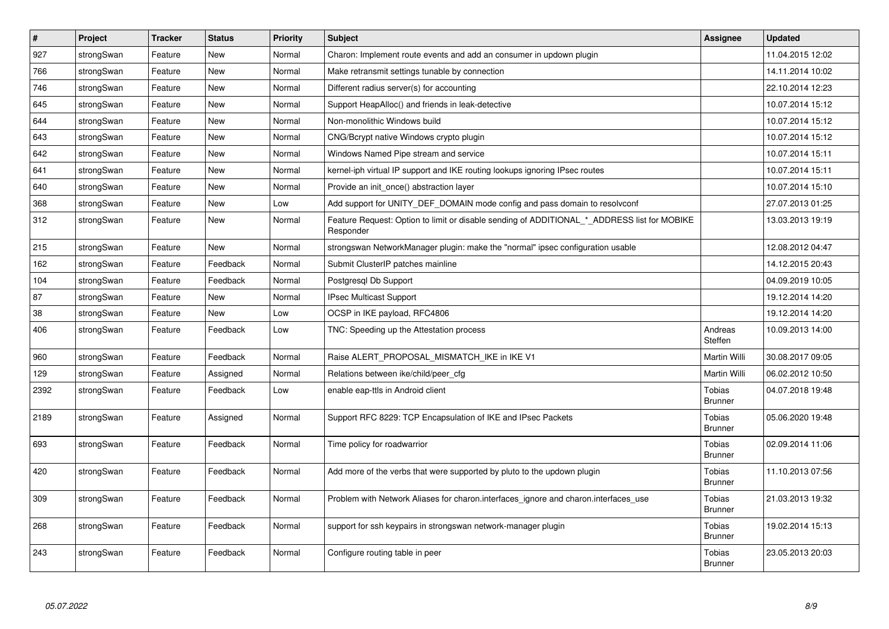| $\#$ | Project    | <b>Tracker</b> | <b>Status</b> | <b>Priority</b> | <b>Subject</b>                                                                                           | Assignee                 | <b>Updated</b>   |
|------|------------|----------------|---------------|-----------------|----------------------------------------------------------------------------------------------------------|--------------------------|------------------|
| 927  | strongSwan | Feature        | <b>New</b>    | Normal          | Charon: Implement route events and add an consumer in updown plugin                                      |                          | 11.04.2015 12:02 |
| 766  | strongSwan | Feature        | <b>New</b>    | Normal          | Make retransmit settings tunable by connection                                                           |                          | 14.11.2014 10:02 |
| 746  | strongSwan | Feature        | New           | Normal          | Different radius server(s) for accounting                                                                |                          | 22.10.2014 12:23 |
| 645  | strongSwan | Feature        | New           | Normal          | Support HeapAlloc() and friends in leak-detective                                                        |                          | 10.07.2014 15:12 |
| 644  | strongSwan | Feature        | <b>New</b>    | Normal          | Non-monolithic Windows build                                                                             |                          | 10.07.2014 15:12 |
| 643  | strongSwan | Feature        | New           | Normal          | CNG/Bcrypt native Windows crypto plugin                                                                  |                          | 10.07.2014 15:12 |
| 642  | strongSwan | Feature        | <b>New</b>    | Normal          | Windows Named Pipe stream and service                                                                    |                          | 10.07.2014 15:11 |
| 641  | strongSwan | Feature        | <b>New</b>    | Normal          | kernel-iph virtual IP support and IKE routing lookups ignoring IPsec routes                              |                          | 10.07.2014 15:11 |
| 640  | strongSwan | Feature        | <b>New</b>    | Normal          | Provide an init_once() abstraction layer                                                                 |                          | 10.07.2014 15:10 |
| 368  | strongSwan | Feature        | New           | Low             | Add support for UNITY DEF DOMAIN mode config and pass domain to resolvconf                               |                          | 27.07.2013 01:25 |
| 312  | strongSwan | Feature        | New           | Normal          | Feature Request: Option to limit or disable sending of ADDITIONAL_*_ADDRESS list for MOBIKE<br>Responder |                          | 13.03.2013 19:19 |
| 215  | strongSwan | Feature        | New           | Normal          | strongswan NetworkManager plugin: make the "normal" ipsec configuration usable                           |                          | 12.08.2012 04:47 |
| 162  | strongSwan | Feature        | Feedback      | Normal          | Submit ClusterIP patches mainline                                                                        |                          | 14.12.2015 20:43 |
| 104  | strongSwan | Feature        | Feedback      | Normal          | Postgresgl Db Support                                                                                    |                          | 04.09.2019 10:05 |
| 87   | strongSwan | Feature        | <b>New</b>    | Normal          | <b>IPsec Multicast Support</b>                                                                           |                          | 19.12.2014 14:20 |
| 38   | strongSwan | Feature        | New           | Low             | OCSP in IKE payload, RFC4806                                                                             |                          | 19.12.2014 14:20 |
| 406  | strongSwan | Feature        | Feedback      | Low             | TNC: Speeding up the Attestation process                                                                 | Andreas<br>Steffen       | 10.09.2013 14:00 |
| 960  | strongSwan | Feature        | Feedback      | Normal          | Raise ALERT PROPOSAL MISMATCH IKE in IKE V1                                                              | Martin Willi             | 30.08.2017 09:05 |
| 129  | strongSwan | Feature        | Assigned      | Normal          | Relations between ike/child/peer cfg                                                                     | Martin Willi             | 06.02.2012 10:50 |
| 2392 | strongSwan | Feature        | Feedback      | Low             | enable eap-ttls in Android client                                                                        | Tobias<br><b>Brunner</b> | 04.07.2018 19:48 |
| 2189 | strongSwan | Feature        | Assigned      | Normal          | Support RFC 8229: TCP Encapsulation of IKE and IPsec Packets                                             | Tobias<br><b>Brunner</b> | 05.06.2020 19:48 |
| 693  | strongSwan | Feature        | Feedback      | Normal          | Time policy for roadwarrior                                                                              | Tobias<br><b>Brunner</b> | 02.09.2014 11:06 |
| 420  | strongSwan | Feature        | Feedback      | Normal          | Add more of the verbs that were supported by pluto to the updown plugin                                  | Tobias<br><b>Brunner</b> | 11.10.2013 07:56 |
| 309  | strongSwan | Feature        | Feedback      | Normal          | Problem with Network Aliases for charon.interfaces_ignore and charon.interfaces_use                      | Tobias<br><b>Brunner</b> | 21.03.2013 19:32 |
| 268  | strongSwan | Feature        | Feedback      | Normal          | support for ssh keypairs in strongswan network-manager plugin                                            | Tobias<br><b>Brunner</b> | 19.02.2014 15:13 |
| 243  | strongSwan | Feature        | Feedback      | Normal          | Configure routing table in peer                                                                          | Tobias<br><b>Brunner</b> | 23.05.2013 20:03 |